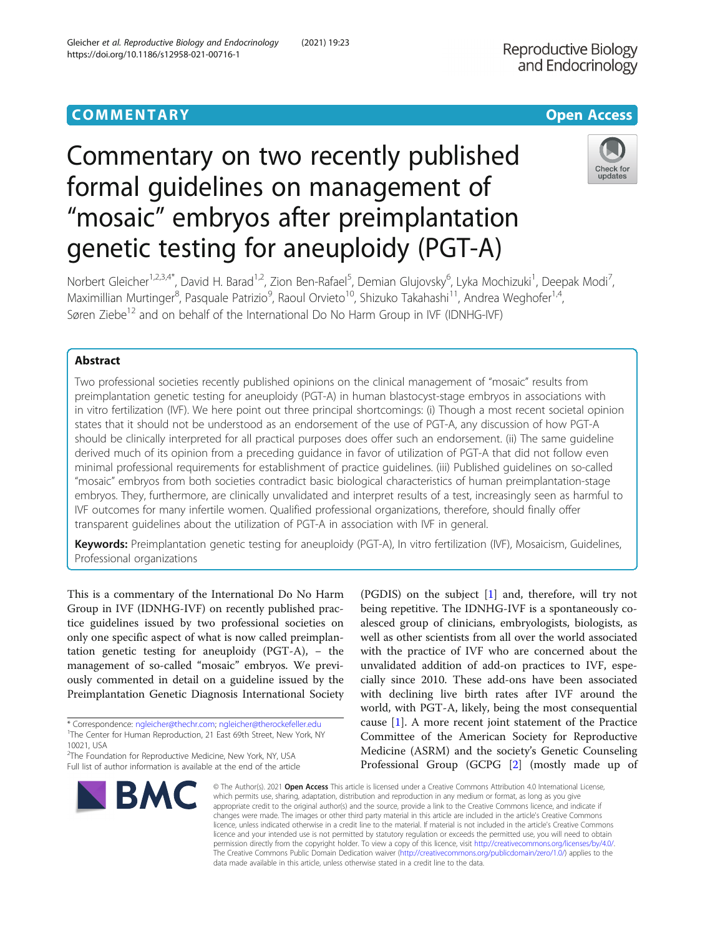## **COMMENTARY COMMENTARY COMMENTARY**

# Commentary on two recently published formal guidelines on management of "mosaic" embryos after preimplantation genetic testing for aneuploidy (PGT-A)

Norbert Gleicher<sup>1,2,3,4\*</sup>, David H. Barad<sup>1,2</sup>, Zion Ben-Rafael<sup>5</sup>, Demian Glujovsky<sup>6</sup>, Lyka Mochizuki<sup>1</sup>, Deepak Modi<sup>7</sup> , Maximillian Murtinger<sup>8</sup>, Pasquale Patrizio<sup>9</sup>, Raoul Orvieto<sup>10</sup>, Shizuko Takahashi<sup>11</sup>, Andrea Weghofer<sup>1,4</sup>, Søren Ziebe<sup>12</sup> and on behalf of the International Do No Harm Group in IVF (IDNHG-IVF)

## Abstract

Two professional societies recently published opinions on the clinical management of "mosaic" results from preimplantation genetic testing for aneuploidy (PGT-A) in human blastocyst-stage embryos in associations with in vitro fertilization (IVF). We here point out three principal shortcomings: (i) Though a most recent societal opinion states that it should not be understood as an endorsement of the use of PGT-A, any discussion of how PGT-A should be clinically interpreted for all practical purposes does offer such an endorsement. (ii) The same guideline derived much of its opinion from a preceding guidance in favor of utilization of PGT-A that did not follow even minimal professional requirements for establishment of practice guidelines. (iii) Published guidelines on so-called "mosaic" embryos from both societies contradict basic biological characteristics of human preimplantation-stage embryos. They, furthermore, are clinically unvalidated and interpret results of a test, increasingly seen as harmful to IVF outcomes for many infertile women. Qualified professional organizations, therefore, should finally offer transparent guidelines about the utilization of PGT-A in association with IVF in general.

Keywords: Preimplantation genetic testing for aneuploidy (PGT-A), In vitro fertilization (IVF), Mosaicism, Guidelines, Professional organizations

This is a commentary of the International Do No Harm Group in IVF (IDNHG-IVF) on recently published practice guidelines issued by two professional societies on only one specific aspect of what is now called preimplantation genetic testing for aneuploidy  $(PGT-A)$ , – the management of so-called "mosaic" embryos. We previously commented in detail on a guideline issued by the Preimplantation Genetic Diagnosis International Society

Full list of author information is available at the end of the article



**BMC** 





© The Author(s), 2021 **Open Access** This article is licensed under a Creative Commons Attribution 4.0 International License, which permits use, sharing, adaptation, distribution and reproduction in any medium or format, as long as you give appropriate credit to the original author(s) and the source, provide a link to the Creative Commons licence, and indicate if changes were made. The images or other third party material in this article are included in the article's Creative Commons licence, unless indicated otherwise in a credit line to the material. If material is not included in the article's Creative Commons licence and your intended use is not permitted by statutory regulation or exceeds the permitted use, you will need to obtain permission directly from the copyright holder. To view a copy of this licence, visit [http://creativecommons.org/licenses/by/4.0/.](http://creativecommons.org/licenses/by/4.0/) The Creative Commons Public Domain Dedication waiver [\(http://creativecommons.org/publicdomain/zero/1.0/](http://creativecommons.org/publicdomain/zero/1.0/)) applies to the data made available in this article, unless otherwise stated in a credit line to the data.



Check for updates

<sup>\*</sup> Correspondence: [ngleicher@thechr.com;](mailto:ngleicher@thechr.com) [ngleicher@therockefeller.edu](mailto:ngleicher@therockefeller.edu) <sup>1</sup> <sup>1</sup>The Center for Human Reproduction, 21 East 69th Street, New York, NY

<sup>10021,</sup> USA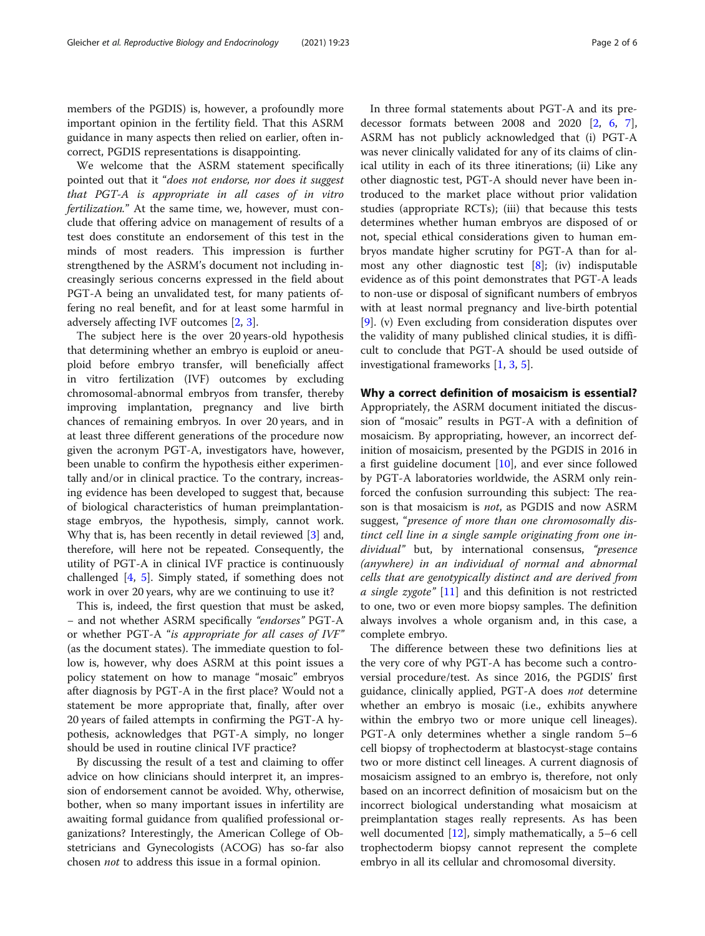members of the PGDIS) is, however, a profoundly more important opinion in the fertility field. That this ASRM guidance in many aspects then relied on earlier, often incorrect, PGDIS representations is disappointing.

We welcome that the ASRM statement specifically pointed out that it "does not endorse, nor does it suggest that PGT-A is appropriate in all cases of in vitro fertilization." At the same time, we, however, must conclude that offering advice on management of results of a test does constitute an endorsement of this test in the minds of most readers. This impression is further strengthened by the ASRM's document not including increasingly serious concerns expressed in the field about PGT-A being an unvalidated test, for many patients offering no real benefit, and for at least some harmful in adversely affecting IVF outcomes [\[2](#page-5-0), [3](#page-5-0)].

The subject here is the over 20 years-old hypothesis that determining whether an embryo is euploid or aneuploid before embryo transfer, will beneficially affect in vitro fertilization (IVF) outcomes by excluding chromosomal-abnormal embryos from transfer, thereby improving implantation, pregnancy and live birth chances of remaining embryos. In over 20 years, and in at least three different generations of the procedure now given the acronym PGT-A, investigators have, however, been unable to confirm the hypothesis either experimentally and/or in clinical practice. To the contrary, increasing evidence has been developed to suggest that, because of biological characteristics of human preimplantationstage embryos, the hypothesis, simply, cannot work. Why that is, has been recently in detail reviewed [\[3](#page-5-0)] and, therefore, will here not be repeated. Consequently, the utility of PGT-A in clinical IVF practice is continuously challenged [[4,](#page-5-0) [5](#page-5-0)]. Simply stated, if something does not work in over 20 years, why are we continuing to use it?

This is, indeed, the first question that must be asked, − and not whether ASRM specifically "endorses" PGT-A or whether PGT-A "is appropriate for all cases of IVF" (as the document states). The immediate question to follow is, however, why does ASRM at this point issues a policy statement on how to manage "mosaic" embryos after diagnosis by PGT-A in the first place? Would not a statement be more appropriate that, finally, after over 20 years of failed attempts in confirming the PGT-A hypothesis, acknowledges that PGT-A simply, no longer should be used in routine clinical IVF practice?

By discussing the result of a test and claiming to offer advice on how clinicians should interpret it, an impression of endorsement cannot be avoided. Why, otherwise, bother, when so many important issues in infertility are awaiting formal guidance from qualified professional organizations? Interestingly, the American College of Obstetricians and Gynecologists (ACOG) has so-far also chosen not to address this issue in a formal opinion.

In three formal statements about PGT-A and its predecessor formats between 2008 and 2020 [\[2](#page-5-0), [6,](#page-5-0) [7](#page-5-0)], ASRM has not publicly acknowledged that (i) PGT-A was never clinically validated for any of its claims of clinical utility in each of its three itinerations; (ii) Like any other diagnostic test, PGT-A should never have been introduced to the market place without prior validation studies (appropriate RCTs); (iii) that because this tests determines whether human embryos are disposed of or not, special ethical considerations given to human embryos mandate higher scrutiny for PGT-A than for almost any other diagnostic test [\[8](#page-5-0)]; (iv) indisputable evidence as of this point demonstrates that PGT-A leads to non-use or disposal of significant numbers of embryos with at least normal pregnancy and live-birth potential [[9\]](#page-5-0). (v) Even excluding from consideration disputes over the validity of many published clinical studies, it is difficult to conclude that PGT-A should be used outside of investigational frameworks [\[1](#page-5-0), [3](#page-5-0), [5](#page-5-0)].

## Why a correct definition of mosaicism is essential?

Appropriately, the ASRM document initiated the discussion of "mosaic" results in PGT-A with a definition of mosaicism. By appropriating, however, an incorrect definition of mosaicism, presented by the PGDIS in 2016 in a first guideline document  $[10]$  $[10]$ , and ever since followed by PGT-A laboratories worldwide, the ASRM only reinforced the confusion surrounding this subject: The reason is that mosaicism is not, as PGDIS and now ASRM suggest, "presence of more than one chromosomally distinct cell line in a single sample originating from one individual" but, by international consensus, "presence (anywhere) in an individual of normal and abnormal cells that are genotypically distinct and are derived from a single zygote" [[11\]](#page-5-0) and this definition is not restricted to one, two or even more biopsy samples. The definition always involves a whole organism and, in this case, a complete embryo.

The difference between these two definitions lies at the very core of why PGT-A has become such a controversial procedure/test. As since 2016, the PGDIS' first guidance, clinically applied, PGT-A does not determine whether an embryo is mosaic (i.e., exhibits anywhere within the embryo two or more unique cell lineages). PGT-A only determines whether a single random 5–6 cell biopsy of trophectoderm at blastocyst-stage contains two or more distinct cell lineages. A current diagnosis of mosaicism assigned to an embryo is, therefore, not only based on an incorrect definition of mosaicism but on the incorrect biological understanding what mosaicism at preimplantation stages really represents. As has been well documented [[12\]](#page-5-0), simply mathematically, a 5–6 cell trophectoderm biopsy cannot represent the complete embryo in all its cellular and chromosomal diversity.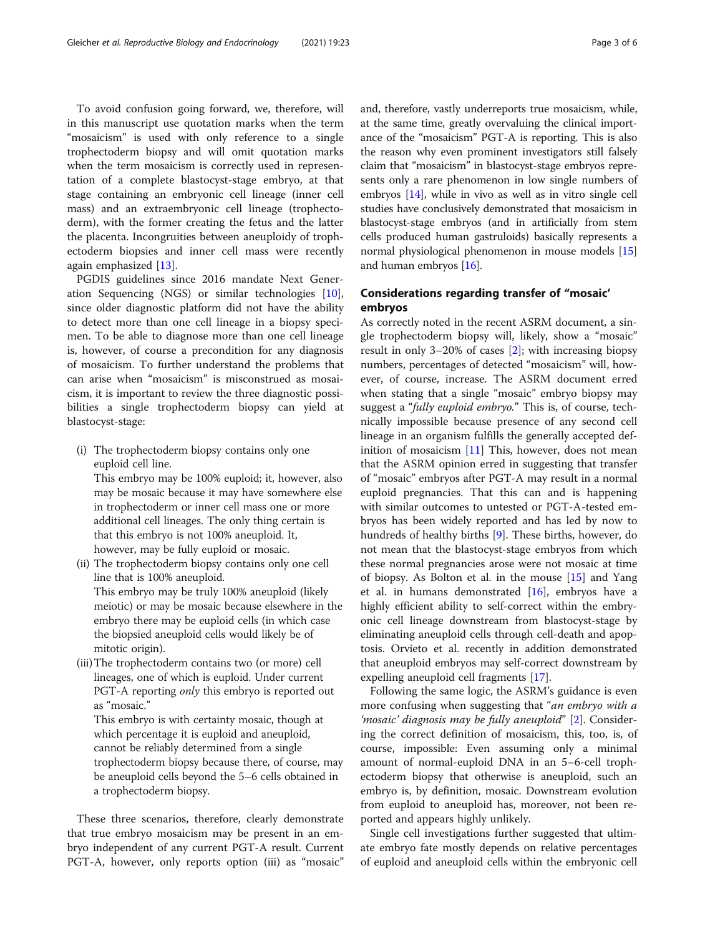To avoid confusion going forward, we, therefore, will in this manuscript use quotation marks when the term "mosaicism" is used with only reference to a single trophectoderm biopsy and will omit quotation marks when the term mosaicism is correctly used in representation of a complete blastocyst-stage embryo, at that stage containing an embryonic cell lineage (inner cell mass) and an extraembryonic cell lineage (trophectoderm), with the former creating the fetus and the latter the placenta. Incongruities between aneuploidy of trophectoderm biopsies and inner cell mass were recently again emphasized [[13\]](#page-5-0).

PGDIS guidelines since 2016 mandate Next Generation Sequencing (NGS) or similar technologies [\[10](#page-5-0)], since older diagnostic platform did not have the ability to detect more than one cell lineage in a biopsy specimen. To be able to diagnose more than one cell lineage is, however, of course a precondition for any diagnosis of mosaicism. To further understand the problems that can arise when "mosaicism" is misconstrued as mosaicism, it is important to review the three diagnostic possibilities a single trophectoderm biopsy can yield at blastocyst-stage:

(i) The trophectoderm biopsy contains only one euploid cell line.

This embryo may be 100% euploid; it, however, also may be mosaic because it may have somewhere else in trophectoderm or inner cell mass one or more additional cell lineages. The only thing certain is that this embryo is not 100% aneuploid. It, however, may be fully euploid or mosaic.

- (ii) The trophectoderm biopsy contains only one cell line that is 100% aneuploid. This embryo may be truly 100% aneuploid (likely meiotic) or may be mosaic because elsewhere in the embryo there may be euploid cells (in which case the biopsied aneuploid cells would likely be of mitotic origin).
- (iii)The trophectoderm contains two (or more) cell lineages, one of which is euploid. Under current PGT-A reporting *only* this embryo is reported out as "mosaic."

This embryo is with certainty mosaic, though at which percentage it is euploid and aneuploid, cannot be reliably determined from a single trophectoderm biopsy because there, of course, may be aneuploid cells beyond the 5–6 cells obtained in a trophectoderm biopsy.

These three scenarios, therefore, clearly demonstrate that true embryo mosaicism may be present in an embryo independent of any current PGT-A result. Current PGT-A, however, only reports option (iii) as "mosaic" and, therefore, vastly underreports true mosaicism, while, at the same time, greatly overvaluing the clinical importance of the "mosaicism" PGT-A is reporting. This is also the reason why even prominent investigators still falsely claim that "mosaicism" in blastocyst-stage embryos represents only a rare phenomenon in low single numbers of embryos [[14](#page-5-0)], while in vivo as well as in vitro single cell studies have conclusively demonstrated that mosaicism in blastocyst-stage embryos (and in artificially from stem cells produced human gastruloids) basically represents a normal physiological phenomenon in mouse models [[15](#page-5-0)] and human embryos [[16](#page-5-0)].

## Considerations regarding transfer of "mosaic' embryos

As correctly noted in the recent ASRM document, a single trophectoderm biopsy will, likely, show a "mosaic" result in only 3–20% of cases [[2\]](#page-5-0); with increasing biopsy numbers, percentages of detected "mosaicism" will, however, of course, increase. The ASRM document erred when stating that a single "mosaic" embryo biopsy may suggest a "fully euploid embryo." This is, of course, technically impossible because presence of any second cell lineage in an organism fulfills the generally accepted definition of mosaicism  $[11]$  $[11]$  This, however, does not mean that the ASRM opinion erred in suggesting that transfer of "mosaic" embryos after PGT-A may result in a normal euploid pregnancies. That this can and is happening with similar outcomes to untested or PGT-A-tested embryos has been widely reported and has led by now to hundreds of healthy births [\[9](#page-5-0)]. These births, however, do not mean that the blastocyst-stage embryos from which these normal pregnancies arose were not mosaic at time of biopsy. As Bolton et al. in the mouse [[15\]](#page-5-0) and Yang et al. in humans demonstrated [[16\]](#page-5-0), embryos have a highly efficient ability to self-correct within the embryonic cell lineage downstream from blastocyst-stage by eliminating aneuploid cells through cell-death and apoptosis. Orvieto et al. recently in addition demonstrated that aneuploid embryos may self-correct downstream by expelling aneuploid cell fragments [[17\]](#page-5-0).

Following the same logic, the ASRM's guidance is even more confusing when suggesting that "an embryo with a 'mosaic' diagnosis may be fully aneuploid" [[2\]](#page-5-0). Considering the correct definition of mosaicism, this, too, is, of course, impossible: Even assuming only a minimal amount of normal-euploid DNA in an 5–6-cell trophectoderm biopsy that otherwise is aneuploid, such an embryo is, by definition, mosaic. Downstream evolution from euploid to aneuploid has, moreover, not been reported and appears highly unlikely.

Single cell investigations further suggested that ultimate embryo fate mostly depends on relative percentages of euploid and aneuploid cells within the embryonic cell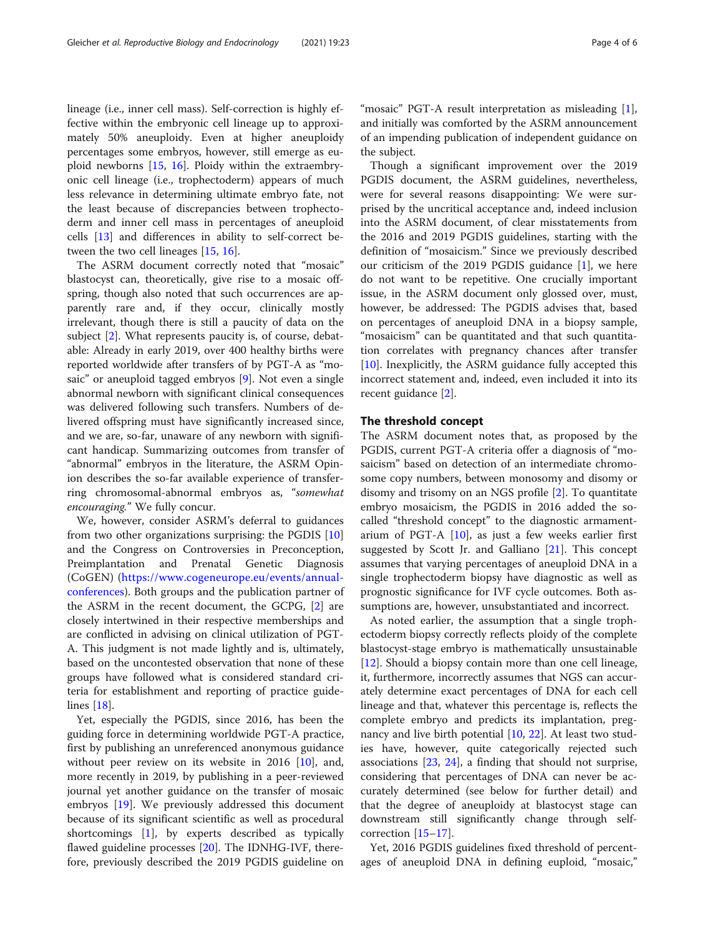lineage (i.e., inner cell mass). Self-correction is highly effective within the embryonic cell lineage up to approximately 50% aneuploidy. Even at higher aneuploidy percentages some embryos, however, still emerge as euploid newborns [[15](#page-5-0), [16\]](#page-5-0). Ploidy within the extraembryonic cell lineage (i.e., trophectoderm) appears of much less relevance in determining ultimate embryo fate, not the least because of discrepancies between trophectoderm and inner cell mass in percentages of aneuploid cells [[13](#page-5-0)] and differences in ability to self-correct between the two cell lineages [[15,](#page-5-0) [16\]](#page-5-0).

The ASRM document correctly noted that "mosaic" blastocyst can, theoretically, give rise to a mosaic offspring, though also noted that such occurrences are apparently rare and, if they occur, clinically mostly irrelevant, though there is still a paucity of data on the subject [[2\]](#page-5-0). What represents paucity is, of course, debatable: Already in early 2019, over 400 healthy births were reported worldwide after transfers of by PGT-A as "mosaic" or aneuploid tagged embryos [\[9\]](#page-5-0). Not even a single abnormal newborn with significant clinical consequences was delivered following such transfers. Numbers of delivered offspring must have significantly increased since, and we are, so-far, unaware of any newborn with significant handicap. Summarizing outcomes from transfer of "abnormal" embryos in the literature, the ASRM Opinion describes the so-far available experience of transferring chromosomal-abnormal embryos as, "somewhat encouraging." We fully concur.

We, however, consider ASRM's deferral to guidances from two other organizations surprising: the PGDIS [[10](#page-5-0)] and the Congress on Controversies in Preconception, Preimplantation and Prenatal Genetic Diagnosis (CoGEN) ([https://www.cogeneurope.eu/events/annual](https://www.cogeneurope.eu/events/annual-conferences)[conferences\)](https://www.cogeneurope.eu/events/annual-conferences). Both groups and the publication partner of the ASRM in the recent document, the GCPG, [[2\]](#page-5-0) are closely intertwined in their respective memberships and are conflicted in advising on clinical utilization of PGT-A. This judgment is not made lightly and is, ultimately, based on the uncontested observation that none of these groups have followed what is considered standard criteria for establishment and reporting of practice guidelines [[18](#page-5-0)].

Yet, especially the PGDIS, since 2016, has been the guiding force in determining worldwide PGT-A practice, first by publishing an unreferenced anonymous guidance without peer review on its website in 2016 [\[10](#page-5-0)], and, more recently in 2019, by publishing in a peer-reviewed journal yet another guidance on the transfer of mosaic embryos [\[19](#page-5-0)]. We previously addressed this document because of its significant scientific as well as procedural shortcomings [[1\]](#page-5-0), by experts described as typically flawed guideline processes [\[20](#page-5-0)]. The IDNHG-IVF, therefore, previously described the 2019 PGDIS guideline on

"mosaic" PGT-A result interpretation as misleading [\[1](#page-5-0)], and initially was comforted by the ASRM announcement of an impending publication of independent guidance on the subject.

Though a significant improvement over the 2019 PGDIS document, the ASRM guidelines, nevertheless, were for several reasons disappointing: We were surprised by the uncritical acceptance and, indeed inclusion into the ASRM document, of clear misstatements from the 2016 and 2019 PGDIS guidelines, starting with the definition of "mosaicism." Since we previously described our criticism of the 2019 PGDIS guidance [\[1](#page-5-0)], we here do not want to be repetitive. One crucially important issue, in the ASRM document only glossed over, must, however, be addressed: The PGDIS advises that, based on percentages of aneuploid DNA in a biopsy sample, "mosaicism" can be quantitated and that such quantitation correlates with pregnancy chances after transfer [[10\]](#page-5-0). Inexplicitly, the ASRM guidance fully accepted this incorrect statement and, indeed, even included it into its recent guidance [[2\]](#page-5-0).

#### The threshold concept

The ASRM document notes that, as proposed by the PGDIS, current PGT-A criteria offer a diagnosis of "mosaicism" based on detection of an intermediate chromosome copy numbers, between monosomy and disomy or disomy and trisomy on an NGS profile [[2\]](#page-5-0). To quantitate embryo mosaicism, the PGDIS in 2016 added the socalled "threshold concept" to the diagnostic armamentarium of PGT-A [[10\]](#page-5-0), as just a few weeks earlier first suggested by Scott Jr. and Galliano [[21\]](#page-5-0). This concept assumes that varying percentages of aneuploid DNA in a single trophectoderm biopsy have diagnostic as well as prognostic significance for IVF cycle outcomes. Both assumptions are, however, unsubstantiated and incorrect.

As noted earlier, the assumption that a single trophectoderm biopsy correctly reflects ploidy of the complete blastocyst-stage embryo is mathematically unsustainable [[12\]](#page-5-0). Should a biopsy contain more than one cell lineage, it, furthermore, incorrectly assumes that NGS can accurately determine exact percentages of DNA for each cell lineage and that, whatever this percentage is, reflects the complete embryo and predicts its implantation, pregnancy and live birth potential [[10,](#page-5-0) [22\]](#page-5-0). At least two studies have, however, quite categorically rejected such associations [\[23,](#page-5-0) [24\]](#page-5-0), a finding that should not surprise, considering that percentages of DNA can never be accurately determined (see below for further detail) and that the degree of aneuploidy at blastocyst stage can downstream still significantly change through selfcorrection [[15](#page-5-0)–[17](#page-5-0)].

Yet, 2016 PGDIS guidelines fixed threshold of percentages of aneuploid DNA in defining euploid, "mosaic,"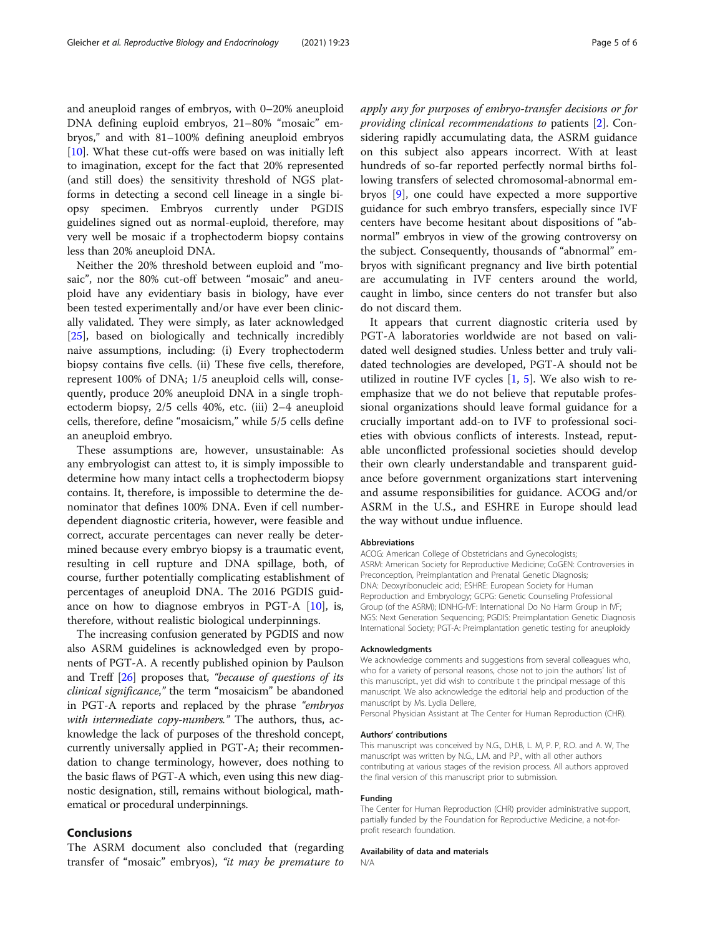and aneuploid ranges of embryos, with 0–20% aneuploid DNA defining euploid embryos, 21–80% "mosaic" embryos," and with 81–100% defining aneuploid embryos [[10\]](#page-5-0). What these cut-offs were based on was initially left to imagination, except for the fact that 20% represented (and still does) the sensitivity threshold of NGS platforms in detecting a second cell lineage in a single biopsy specimen. Embryos currently under PGDIS guidelines signed out as normal-euploid, therefore, may very well be mosaic if a trophectoderm biopsy contains less than 20% aneuploid DNA.

Neither the 20% threshold between euploid and "mosaic", nor the 80% cut-off between "mosaic" and aneuploid have any evidentiary basis in biology, have ever been tested experimentally and/or have ever been clinically validated. They were simply, as later acknowledged [[25\]](#page-5-0), based on biologically and technically incredibly naive assumptions, including: (i) Every trophectoderm biopsy contains five cells. (ii) These five cells, therefore, represent 100% of DNA; 1/5 aneuploid cells will, consequently, produce 20% aneuploid DNA in a single trophectoderm biopsy, 2/5 cells 40%, etc. (iii) 2–4 aneuploid cells, therefore, define "mosaicism," while 5/5 cells define an aneuploid embryo.

These assumptions are, however, unsustainable: As any embryologist can attest to, it is simply impossible to determine how many intact cells a trophectoderm biopsy contains. It, therefore, is impossible to determine the denominator that defines 100% DNA. Even if cell numberdependent diagnostic criteria, however, were feasible and correct, accurate percentages can never really be determined because every embryo biopsy is a traumatic event, resulting in cell rupture and DNA spillage, both, of course, further potentially complicating establishment of percentages of aneuploid DNA. The 2016 PGDIS guidance on how to diagnose embryos in PGT-A [\[10\]](#page-5-0), is, therefore, without realistic biological underpinnings.

The increasing confusion generated by PGDIS and now also ASRM guidelines is acknowledged even by proponents of PGT-A. A recently published opinion by Paulson and Treff [[26](#page-5-0)] proposes that, "because of questions of its clinical significance," the term "mosaicism" be abandoned in PGT-A reports and replaced by the phrase "embryos with intermediate copy-numbers." The authors, thus, acknowledge the lack of purposes of the threshold concept, currently universally applied in PGT-A; their recommendation to change terminology, however, does nothing to the basic flaws of PGT-A which, even using this new diagnostic designation, still, remains without biological, mathematical or procedural underpinnings.

### Conclusions

The ASRM document also concluded that (regarding transfer of "mosaic" embryos), "it may be premature to apply any for purposes of embryo-transfer decisions or for providing clinical recommendations to patients [\[2](#page-5-0)]. Considering rapidly accumulating data, the ASRM guidance on this subject also appears incorrect. With at least hundreds of so-far reported perfectly normal births following transfers of selected chromosomal-abnormal embryos [[9\]](#page-5-0), one could have expected a more supportive guidance for such embryo transfers, especially since IVF centers have become hesitant about dispositions of "abnormal" embryos in view of the growing controversy on the subject. Consequently, thousands of "abnormal" embryos with significant pregnancy and live birth potential are accumulating in IVF centers around the world, caught in limbo, since centers do not transfer but also do not discard them.

It appears that current diagnostic criteria used by PGT-A laboratories worldwide are not based on validated well designed studies. Unless better and truly validated technologies are developed, PGT-A should not be utilized in routine IVF cycles  $[1, 5]$  $[1, 5]$  $[1, 5]$  $[1, 5]$  $[1, 5]$ . We also wish to reemphasize that we do not believe that reputable professional organizations should leave formal guidance for a crucially important add-on to IVF to professional societies with obvious conflicts of interests. Instead, reputable unconflicted professional societies should develop their own clearly understandable and transparent guidance before government organizations start intervening and assume responsibilities for guidance. ACOG and/or ASRM in the U.S., and ESHRE in Europe should lead the way without undue influence.

#### Abbreviations

ACOG: American College of Obstetricians and Gynecologists; ASRM: American Society for Reproductive Medicine; CoGEN: Controversies in Preconception, Preimplantation and Prenatal Genetic Diagnosis; DNA: Deoxyribonucleic acid; ESHRE: European Society for Human Reproduction and Embryology; GCPG: Genetic Counseling Professional Group (of the ASRM); IDNHG-IVF: International Do No Harm Group in IVF; NGS: Next Generation Sequencing; PGDIS: Preimplantation Genetic Diagnosis International Society; PGT-A: Preimplantation genetic testing for aneuploidy

#### Acknowledgments

We acknowledge comments and suggestions from several colleagues who, who for a variety of personal reasons, chose not to join the authors' list of this manuscript., yet did wish to contribute t the principal message of this manuscript. We also acknowledge the editorial help and production of the manuscript by Ms. Lydia Dellere,

Personal Physician Assistant at The Center for Human Reproduction (CHR).

#### Authors' contributions

This manuscript was conceived by N.G., D.H.B, L. M, P. P, R.O. and A. W, The manuscript was written by N.G., L.M. and P.P., with all other authors contributing at various stages of the revision process. All authors approved the final version of this manuscript prior to submission.

#### Funding

The Center for Human Reproduction (CHR) provider administrative support, partially funded by the Foundation for Reproductive Medicine, a not-forprofit research foundation.

#### Availability of data and materials

N/A